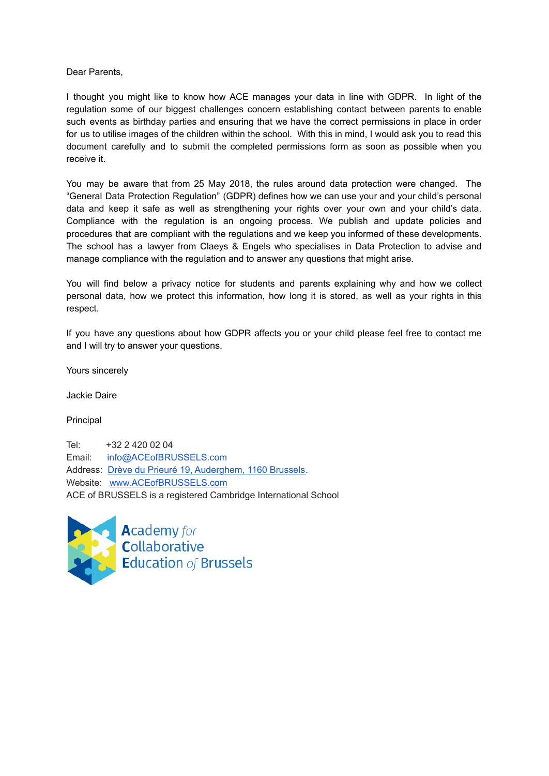Dear Parents,

I thought you might like to know how ACE manages your data in line with GDPR. In light of the regulation some of our biggest challenges concern establishing contact between parents to enable such events as birthday parties and ensuring that we have the correct permissions in place in order for us to utilise images of the children within the school. With this in mind, I would ask you to read this document carefully and to submit the completed permissions form as soon as possible when you receive it.

You may be aware that from 25 May 2018, the rules around data protection were changed. The "General Data Protection Regulation" (GDPR) defines how we can use your and your child's personal data and keep it safe as well as strengthening your rights over your own and your child's data. Compliance with the regulation is an ongoing process. We publish and update policies and procedures that are compliant with the regulations and we keep you informed of these developments. The school has a lawyer from Claeys & Engels who specialises in Data Protection to advise and manage compliance with the regulation and to answer any questions that might arise.

You will find below a privacy notice for students and parents explaining why and how we collect personal data, how we protect this information, how long it is stored, as well as your rights in this respect.

If you have any questions about how GDPR affects you or your child please feel free to contact me and I will try to answer your questions.

Yours sincerely

Jackie Daire

Principal

Tel: +32 2 420 02 04 Email: info@ACEofBRUSSELS.com Address: Drève du Prieuré 19, [Auderghem,](https://www.google.be/maps/place/Dr%C3%A8ve+du+Prieur%C3%A9+19,+1160+Auderghem/@50.8416889,4.357474,12.67z/data=!4m2!3m1!1s0x47c3db13a2c239af:0xad370a619b3e6e3a) 1160 Brussels. Website: [www.ACEofBRUSSELS.com](http://www.aceofbrussels.com/) ACE of BRUSSELS is a registered Cambridge International School



**Academy** for<br>**Collaborative Education of Brussels**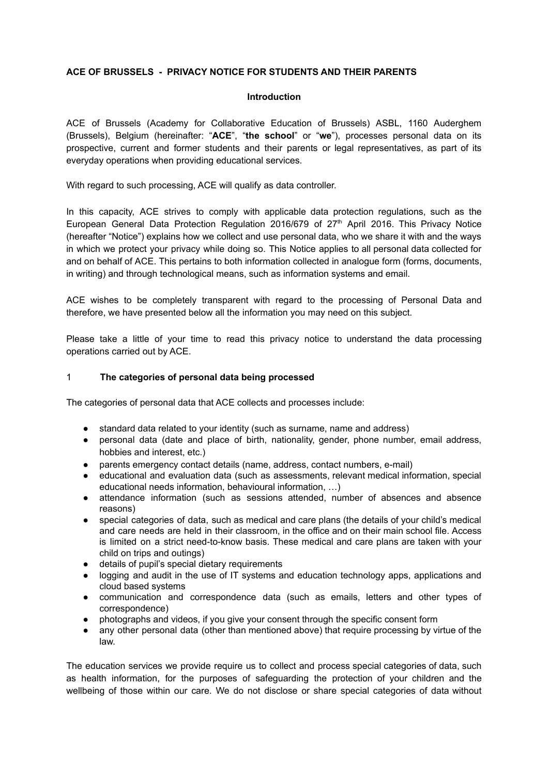# **ACE OF BRUSSELS - PRIVACY NOTICE FOR STUDENTS AND THEIR PARENTS**

#### **Introduction**

ACE of Brussels (Academy for Collaborative Education of Brussels) ASBL, 1160 Auderghem (Brussels), Belgium (hereinafter: "**ACE**", "**the school**" or "**we**"), processes personal data on its prospective, current and former students and their parents or legal representatives, as part of its everyday operations when providing educational services.

With regard to such processing, ACE will qualify as data controller.

In this capacity, ACE strives to comply with applicable data protection regulations, such as the European General Data Protection Regulation 2016/679 of  $27<sup>th</sup>$  April 2016. This Privacy Notice (hereafter "Notice") explains how we collect and use personal data, who we share it with and the ways in which we protect your privacy while doing so. This Notice applies to all personal data collected for and on behalf of ACE. This pertains to both information collected in analogue form (forms, documents, in writing) and through technological means, such as information systems and email.

ACE wishes to be completely transparent with regard to the processing of Personal Data and therefore, we have presented below all the information you may need on this subject.

Please take a little of your time to read this privacy notice to understand the data processing operations carried out by ACE.

#### 1 **The categories of personal data being processed**

The categories of personal data that ACE collects and processes include:

- standard data related to your identity (such as surname, name and address)
- personal data (date and place of birth, nationality, gender, phone number, email address, hobbies and interest, etc.)
- parents emergency contact details (name, address, contact numbers, e-mail)
- educational and evaluation data (such as assessments, relevant medical information, special educational needs information, behavioural information, …)
- attendance information (such as sessions attended, number of absences and absence reasons)
- special categories of data, such as medical and care plans (the details of your child's medical and care needs are held in their classroom, in the office and on their main school file. Access is limited on a strict need-to-know basis. These medical and care plans are taken with your child on trips and outings)
- details of pupil's special dietary requirements
- logging and audit in the use of IT systems and education technology apps, applications and cloud based systems
- communication and correspondence data (such as emails, letters and other types of correspondence)
- photographs and videos, if you give your consent through the specific consent form
- any other personal data (other than mentioned above) that require processing by virtue of the law.

The education services we provide require us to collect and process special categories of data, such as health information, for the purposes of safeguarding the protection of your children and the wellbeing of those within our care. We do not disclose or share special categories of data without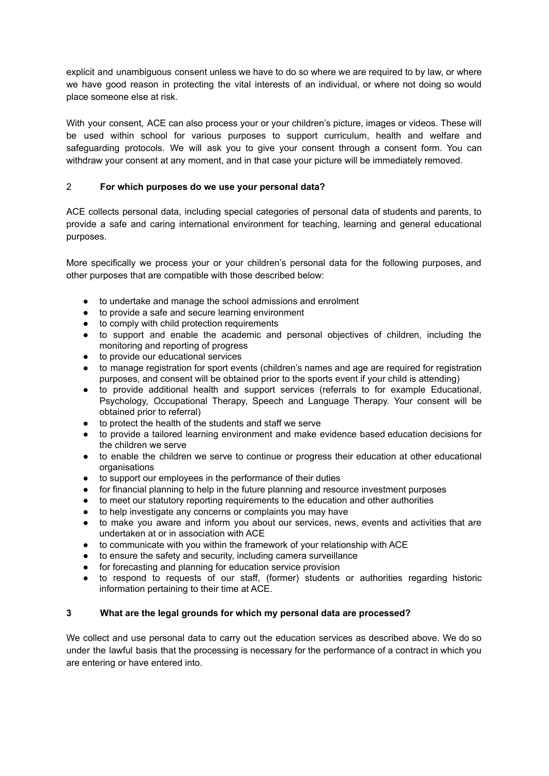explicit and unambiguous consent unless we have to do so where we are required to by law, or where we have good reason in protecting the vital interests of an individual, or where not doing so would place someone else at risk.

With your consent, ACE can also process your or your children's picture, images or videos. These will be used within school for various purposes to support curriculum, health and welfare and safeguarding protocols. We will ask you to give your consent through a consent form. You can withdraw your consent at any moment, and in that case your picture will be immediately removed.

# 2 **For which purposes do we use your personal data?**

ACE collects personal data, including special categories of personal data of students and parents, to provide a safe and caring international environment for teaching, learning and general educational purposes.

More specifically we process your or your children's personal data for the following purposes, and other purposes that are compatible with those described below:

- to undertake and manage the school admissions and enrolment
- to provide a safe and secure learning environment
- to comply with child protection requirements
- to support and enable the academic and personal objectives of children, including the monitoring and reporting of progress
- to provide our educational services
- to manage registration for sport events (children's names and age are required for registration purposes, and consent will be obtained prior to the sports event if your child is attending)
- to provide additional health and support services (referrals to for example Educational, Psychology, Occupational Therapy, Speech and Language Therapy. Your consent will be obtained prior to referral)
- to protect the health of the students and staff we serve
- to provide a tailored learning environment and make evidence based education decisions for the children we serve
- to enable the children we serve to continue or progress their education at other educational organisations
- to support our employees in the performance of their duties
- for financial planning to help in the future planning and resource investment purposes
- to meet our statutory reporting requirements to the education and other authorities
- to help investigate any concerns or complaints you may have
- to make you aware and inform you about our services, news, events and activities that are undertaken at or in association with ACE
- to communicate with you within the framework of your relationship with ACE
- to ensure the safety and security, including camera surveillance
- for forecasting and planning for education service provision
- to respond to requests of our staff, (former) students or authorities regarding historic information pertaining to their time at ACE.

## **3 What are the legal grounds for which my personal data are processed?**

We collect and use personal data to carry out the education services as described above. We do so under the lawful basis that the processing is necessary for the performance of a contract in which you are entering or have entered into.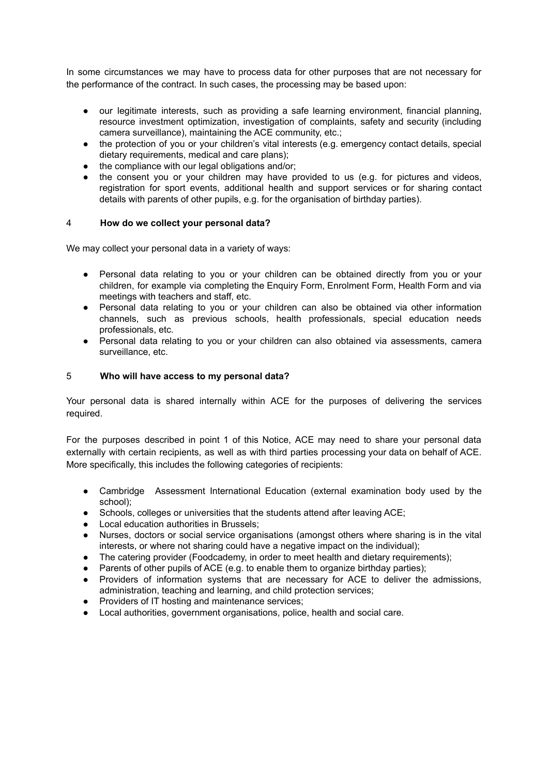In some circumstances we may have to process data for other purposes that are not necessary for the performance of the contract. In such cases, the processing may be based upon:

- our legitimate interests, such as providing a safe learning environment, financial planning, resource investment optimization, investigation of complaints, safety and security (including camera surveillance), maintaining the ACE community, etc.;
- the protection of you or your children's vital interests (e.g. emergency contact details, special dietary requirements, medical and care plans);
- the compliance with our legal obligations and/or;
- the consent you or your children may have provided to us (e.g. for pictures and videos, registration for sport events, additional health and support services or for sharing contact details with parents of other pupils, e.g. for the organisation of birthday parties).

#### 4 **How do we collect your personal data?**

We may collect your personal data in a variety of ways:

- Personal data relating to you or your children can be obtained directly from you or your children, for example via completing the Enquiry Form, Enrolment Form, Health Form and via meetings with teachers and staff, etc.
- Personal data relating to you or your children can also be obtained via other information channels, such as previous schools, health professionals, special education needs professionals, etc.
- Personal data relating to you or your children can also obtained via assessments, camera surveillance, etc.

#### 5 **Who will have access to my personal data?**

Your personal data is shared internally within ACE for the purposes of delivering the services required.

For the purposes described in point 1 of this Notice, ACE may need to share your personal data externally with certain recipients, as well as with third parties processing your data on behalf of ACE. More specifically, this includes the following categories of recipients:

- Cambridge Assessment International Education (external examination body used by the school);
- Schools, colleges or universities that the students attend after leaving ACE;
- Local education authorities in Brussels;
- Nurses, doctors or social service organisations (amongst others where sharing is in the vital interests, or where not sharing could have a negative impact on the individual);
- The catering provider (Foodcademy, in order to meet health and dietary requirements);
- Parents of other pupils of ACE (e.g. to enable them to organize birthday parties);
- Providers of information systems that are necessary for ACE to deliver the admissions, administration, teaching and learning, and child protection services;
- Providers of IT hosting and maintenance services;
- Local authorities, government organisations, police, health and social care.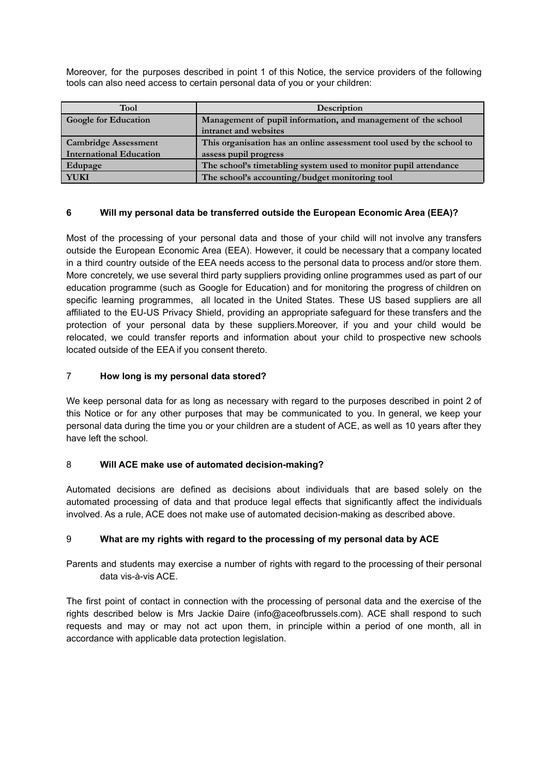Moreover, for the purposes described in point 1 of this Notice, the service providers of the following tools can also need access to certain personal data of you or your children:

| <b>Tool</b>                    | Description                                                           |
|--------------------------------|-----------------------------------------------------------------------|
| <b>Google for Education</b>    | Management of pupil information, and management of the school         |
|                                | intranet and websites                                                 |
| <b>Cambridge Assessment</b>    | This organisation has an online assessment tool used by the school to |
| <b>International Education</b> | assess pupil progress                                                 |
| Edupage                        | The school's timetabling system used to monitor pupil attendance      |
| YUKI                           | The school's accounting/budget monitoring tool                        |

# **6 Will my personal data be transferred outside the European Economic Area (EEA)?**

Most of the processing of your personal data and those of your child will not involve any transfers outside the European Economic Area (EEA). However, it could be necessary that a company located in a third country outside of the EEA needs access to the personal data to process and/or store them. More concretely, we use several third party suppliers providing online programmes used as part of our education programme (such as Google for Education) and for monitoring the progress of children on specific learning programmes, all located in the United States. These US based suppliers are all affiliated to the EU-US Privacy Shield, providing an appropriate safeguard for these transfers and the protection of your personal data by these suppliers.Moreover, if you and your child would be relocated, we could transfer reports and information about your child to prospective new schools located outside of the EEA if you consent thereto.

## 7 **How long is my personal data stored?**

We keep personal data for as long as necessary with regard to the purposes described in point 2 of this Notice or for any other purposes that may be communicated to you. In general, we keep your personal data during the time you or your children are a student of ACE, as well as 10 years after they have left the school.

## 8 **Will ACE make use of automated decision-making?**

Automated decisions are defined as decisions about individuals that are based solely on the automated processing of data and that produce legal effects that significantly affect the individuals involved. As a rule, ACE does not make use of automated decision-making as described above.

## 9 **What are my rights with regard to the processing of my personal data by ACE**

Parents and students may exercise a number of rights with regard to the processing of their personal data vis-à-vis ACE.

The first point of contact in connection with the processing of personal data and the exercise of the rights described below is Mrs Jackie Daire (info@aceofbrussels.com). ACE shall respond to such requests and may or may not act upon them, in principle within a period of one month, all in accordance with applicable data protection legislation.